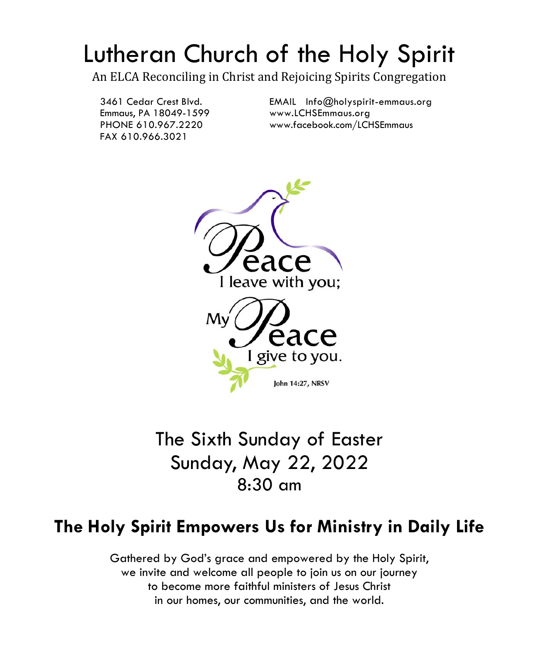# Lutheran Church of the Holy Spirit

An ELCA Reconciling in Christ and Rejoicing Spirits Congregation

Emmaus, PA 18049-1599 [www.LCHSEmmaus.org](http://www.lchsemmaus.org/) FAX 610.966.3021

3461 Cedar Crest Blvd. [EMAIL Info@holyspirit-emmaus.org](mailto:EMAIL%20%20Info@holyspirit-emmaus.org) PHONE 610.967.2220 [www.facebook.com/LCHSEmmaus](http://www.facebook.com/LCHSEmmaus)



The Sixth Sunday of Easter Sunday, May 22, 2022 8:30 am

# **The Holy Spirit Empowers Us for Ministry in Daily Life**

Gathered by God's grace and empowered by the Holy Spirit, we invite and welcome all people to join us on our journey to become more faithful ministers of Jesus Christ in our homes, our communities, and the world.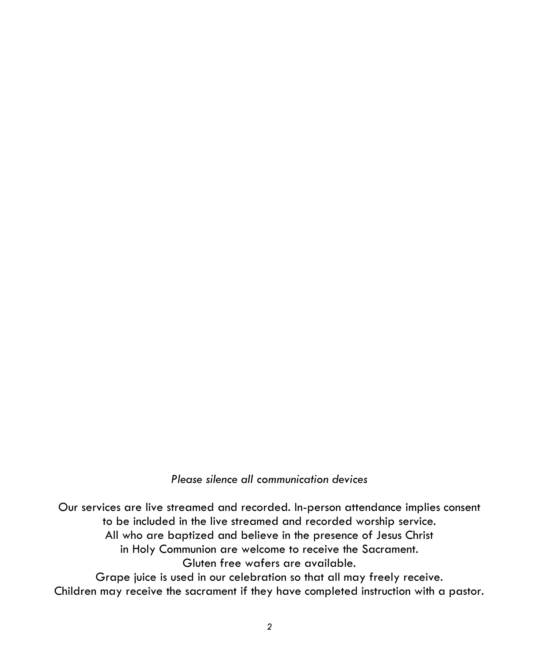# *Please silence all communication devices*

Our services are live streamed and recorded. In-person attendance implies consent to be included in the live streamed and recorded worship service. All who are baptized and believe in the presence of Jesus Christ in Holy Communion are welcome to receive the Sacrament. Gluten free wafers are available. Grape juice is used in our celebration so that all may freely receive. Children may receive the sacrament if they have completed instruction with a pastor.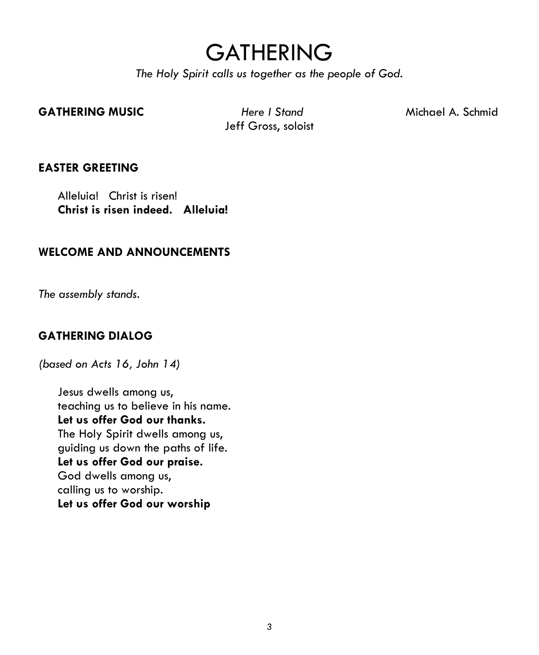# **GATHERING**

*The Holy Spirit calls us together as the people of God.*

#### **GATHERING MUSIC** *Here I Stand* Michael A. Schmid

Jeff Gross, soloist

#### **EASTER GREETING**

Alleluia! Christ is risen! **Christ is risen indeed. Alleluia!**

#### **WELCOME AND ANNOUNCEMENTS**

*The assembly stands.*

#### **GATHERING DIALOG**

*(based on Acts 16, John 14)*

Jesus dwells among us, teaching us to believe in his name. **Let us offer God our thanks.** The Holy Spirit dwells among us, guiding us down the paths of life. **Let us offer God our praise.** God dwells among us, calling us to worship. **Let us offer God our worship**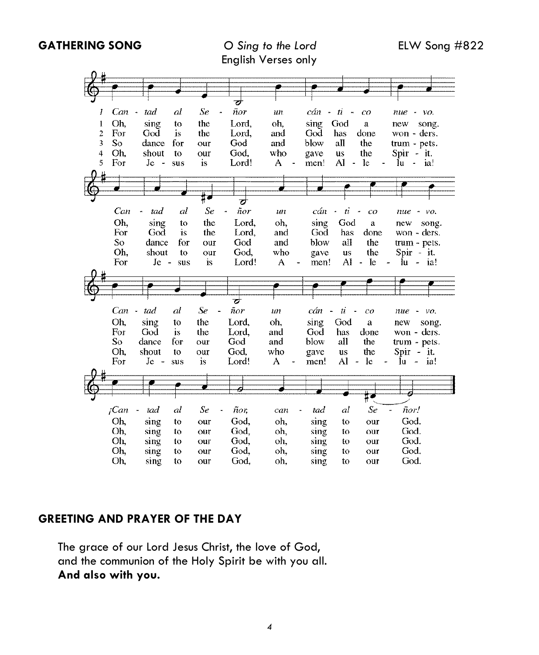**GATHERING SONG** *O Sing to the Lord* ELW Song #822

|                |         |                                 |     |     | ┲        |     |              |                                    |                             |                                        |
|----------------|---------|---------------------------------|-----|-----|----------|-----|--------------|------------------------------------|-----------------------------|----------------------------------------|
| 1              | Can     | tad<br>$\overline{\phantom{a}}$ | al  | Se  | ñor      | un  | cán          | $-ti$<br>$\boldsymbol{\mathsf{m}}$ | $_{co}$                     | пие<br>vo.<br>$\overline{\phantom{a}}$ |
| 1              | Oh.     | sing                            | to  | the | Lord,    | oh. | sing         | God                                | a                           | new<br>song.                           |
| $\overline{z}$ | For     | God                             | is  | the | Lord,    | and | God          | has                                | done                        | won - ders.                            |
| $\overline{3}$ | So      | dance                           | for | our | God      | and | blow         | all                                | the                         | trum - pets.                           |
| $\overline{4}$ | Oh.     | shout                           | to  | our | God.     | who | gave         | us                                 | the                         | Spir - it.                             |
| 5              | For     | $Ie -$                          | sus | is  | Lord!    | A   | men!         | Al<br>$\blacksquare$               | -le                         | łц<br>ia!<br>$\overline{a}$            |
|                |         |                                 |     |     |          |     |              |                                    |                             |                                        |
|                |         |                                 |     |     |          |     |              |                                    |                             |                                        |
|                |         |                                 |     |     | य        |     |              |                                    |                             |                                        |
|                | Can     | tad<br>×                        | al  | Se  | ñor<br>× | un  | cán          | $\boldsymbol{n}$<br>$\blacksquare$ | $\tilde{\phantom{a}}$<br>co | пие<br>$\sim$ VO.                      |
|                | Oh.     | sing                            | to  | the | Lord.    | oh. | sing         | God                                | $\rm a$                     | new<br>song.                           |
|                | For     | God                             | is  | the | Lord.    | and | God          | has                                | done                        | won - ders.                            |
|                | So      | dance                           | for | our | God      | and | blow         | all                                | the                         | trum - pets.                           |
|                | Oh.     | shout                           | to  | our | God.     | who | gave         | us                                 | the                         | $Spin - it$ .                          |
|                | For     | $J_{\rm c}$ -                   | sus | is. | Lord!    | A   | men!         | Al                                 | le                          | lu<br>ia!                              |
|                |         |                                 |     |     |          |     |              |                                    |                             |                                        |
|                |         |                                 |     |     |          |     |              |                                    |                             |                                        |
|                |         |                                 |     |     |          |     |              |                                    |                             |                                        |
|                |         |                                 |     |     |          |     |              |                                    |                             |                                        |
|                |         |                                 |     |     | ┲        |     |              |                                    |                             |                                        |
|                | Can     | tad                             | al  | Se  | ñor      | un  | cán          | $\mu$                              | $^{co}$                     | пие<br>$ \nu$ o,                       |
|                | Oh,     | sing                            | to  | the | Lord.    | oh, | sing         | God                                | a                           | new<br>song.                           |
|                | For     | God                             | is  | the | Lord,    | and | God          | has                                | done                        | won - ders.                            |
|                | So      | dance                           | for | our | God      | and | blow         | all                                | the                         | trum - pets.                           |
|                | Oh,     | shout                           | to  | our | God.     | who | gave         | <b>us</b>                          | the                         | Spir -<br>it.                          |
|                | For     | $Je -$                          | sus | is  | Lord!    | A   | men!         | AI                                 | le<br>÷,                    | ja!<br>lu<br>$\overline{a}$            |
|                |         |                                 |     |     |          |     |              |                                    |                             |                                        |
|                |         |                                 |     |     | é        |     |              |                                    |                             |                                        |
|                |         |                                 |     |     |          |     |              |                                    |                             | ø                                      |
|                | $i$ Can | tad<br>$\ddot{\phantom{1}}$     | al  | Se  | ñor,     | can | tad          | al                                 | Se                          | ñor!                                   |
|                | Oh,     | sing                            | to  | our | God,     | oh, | sing         | to                                 | our                         | God.                                   |
|                | Oh,     | sing                            | to  | our | God,     | oh, |              | ÍО                                 | our                         | God.                                   |
|                | Oh.     | sing                            | 10  | our | God,     | oh, | sing<br>sing | to                                 | our                         | God.                                   |
|                | Oh,     | sing                            | to  | our | God,     | oh, | sing         | to                                 | our                         | God.                                   |

# **GREETING AND PRAYER OF THE DAY**

The grace of our Lord Jesus Christ, the love of God, and the communion of the Holy Spirit be with you all. **And also with you.**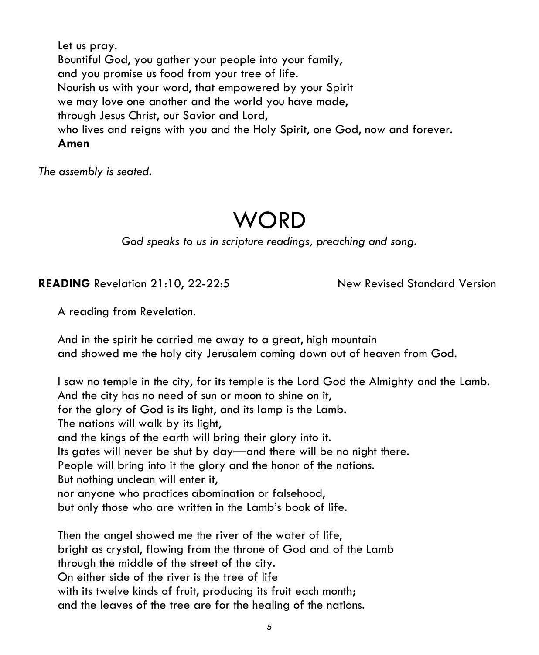Let us pray. Bountiful God, you gather your people into your family, and you promise us food from your tree of life. Nourish us with your word, that empowered by your Spirit we may love one another and the world you have made, through Jesus Christ, our Savior and Lord, who lives and reigns with you and the Holy Spirit, one God, now and forever. **Amen**

*The assembly is seated.*

# **WORD**

*God speaks to us in scripture readings, preaching and song.*

# **READING** Revelation 21:10, 22-22:5 New Revised Standard Version

A reading from Revelation.

And in the spirit he carried me away to a great, high mountain and showed me the holy city Jerusalem coming down out of heaven from God.

I saw no temple in the city, for its temple is the Lord God the Almighty and the Lamb. And the city has no need of sun or moon to shine on it, for the glory of God is its light, and its lamp is the Lamb. The nations will walk by its light, and the kings of the earth will bring their glory into it. Its gates will never be shut by day—and there will be no night there. People will bring into it the glory and the honor of the nations. But nothing unclean will enter it, nor anyone who practices abomination or falsehood, but only those who are written in the Lamb's book of life.

Then the angel showed me the river of the water of life, bright as crystal, flowing from the throne of God and of the Lamb through the middle of the street of the city. On either side of the river is the tree of life with its twelve kinds of fruit, producing its fruit each month; and the leaves of the tree are for the healing of the nations.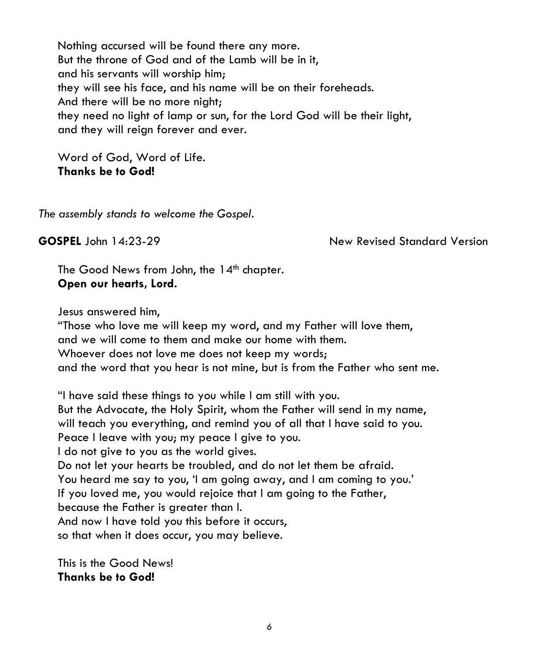Nothing accursed will be found there any more. But the throne of God and of the Lamb will be in it, and his servants will worship him; they will see his face, and his name will be on their foreheads. And there will be no more night; they need no light of lamp or sun, for the Lord God will be their light, and they will reign forever and ever.

Word of God, Word of Life. **Thanks be to God!**

*The assembly stands to welcome the Gospel.*

**GOSPEL** John 14:23-29 **New Revised Standard Version** 

The Good News from John, the 14<sup>th</sup> chapter. **Open our hearts, Lord.**

Jesus answered him,

"Those who love me will keep my word, and my Father will love them, and we will come to them and make our home with them. Whoever does not love me does not keep my words; and the word that you hear is not mine, but is from the Father who sent me.

"I have said these things to you while I am still with you. But the Advocate, the Holy Spirit, whom the Father will send in my name, will teach you everything, and remind you of all that I have said to you. Peace I leave with you; my peace I give to you. I do not give to you as the world gives. Do not let your hearts be troubled, and do not let them be afraid. You heard me say to you, 'I am going away, and I am coming to you.' If you loved me, you would rejoice that I am going to the Father, because the Father is greater than I. And now I have told you this before it occurs, so that when it does occur, you may believe.

This is the Good News! **Thanks be to God!**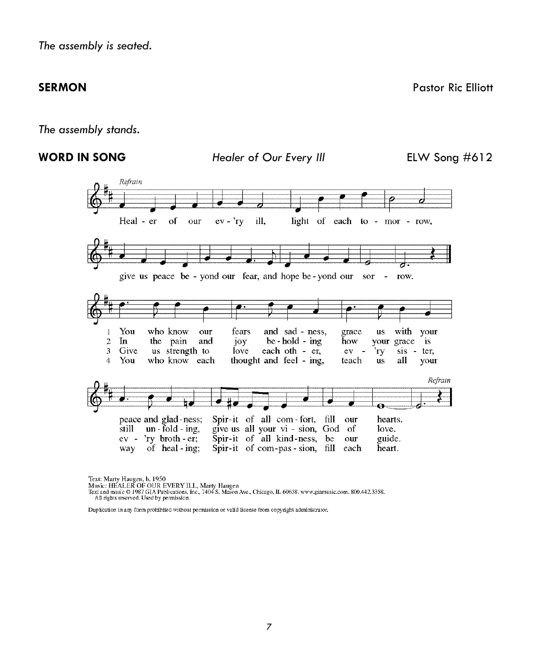*The assembly stands.*



Text: Marty Haugen, b. 1950<br>Music: HEALER OF OUR EVERY ILL, Marty Haugen<br>Text and music © 1987 GIA Publications, Inc., 7404 S. Mason Ave., Chicago, IL 60638. www.giamusic.com. 800.442.3358.<br>All rights reserved. Used by per

Duplication in any form prohibited without permission or valid license from copyright administrator.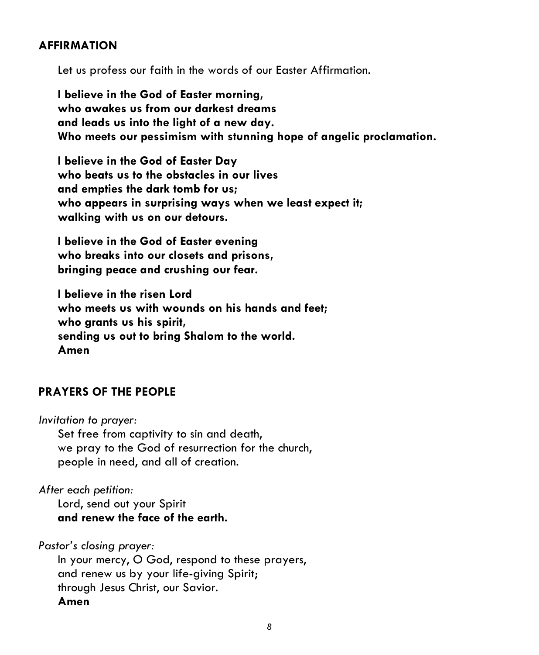#### **AFFIRMATION**

Let us profess our faith in the words of our Easter Affirmation.

**I believe in the God of Easter morning, who awakes us from our darkest dreams and leads us into the light of a new day. Who meets our pessimism with stunning hope of angelic proclamation.** 

**I believe in the God of Easter Day who beats us to the obstacles in our lives and empties the dark tomb for us; who appears in surprising ways when we least expect it; walking with us on our detours.** 

**I believe in the God of Easter evening who breaks into our closets and prisons, bringing peace and crushing our fear.** 

**I believe in the risen Lord who meets us with wounds on his hands and feet; who grants us his spirit, sending us out to bring Shalom to the world. Amen**

## **PRAYERS OF THE PEOPLE**

*Invitation to prayer:*

Set free from captivity to sin and death, we pray to the God of resurrection for the church, people in need, and all of creation.

*After each petition:*

Lord, send out your Spirit **and renew the face of the earth.**

*Pastor's closing prayer:*

In your mercy, O God, respond to these prayers, and renew us by your life-giving Spirit; through Jesus Christ, our Savior. **Amen**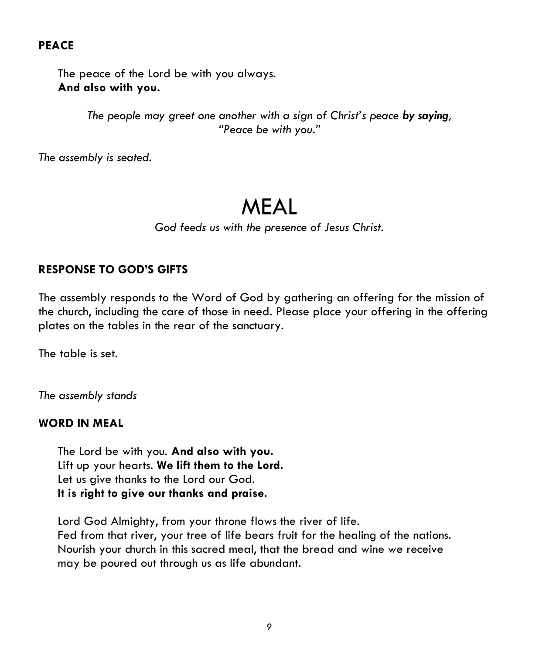# **PEACE**

The peace of the Lord be with you always. **And also with you.**

> *The people may greet one another with a sign of Christ's peace by saying, "Peace be with you."*

*The assembly is seated.*

# MEAL

*God feeds us with the presence of Jesus Christ.*

# **RESPONSE TO GOD'S GIFTS**

The assembly responds to the Word of God by gathering an offering for the mission of the church, including the care of those in need. Please place your offering in the offering plates on the tables in the rear of the sanctuary.

The table is set.

*The assembly stands*

#### **WORD IN MEAL**

The Lord be with you. **And also with you.** Lift up your hearts. **We lift them to the Lord.** Let us give thanks to the Lord our God. **It is right to give our thanks and praise.**

Lord God Almighty, from your throne flows the river of life. Fed from that river, your tree of life bears fruit for the healing of the nations. Nourish your church in this sacred meal, that the bread and wine we receive may be poured out through us as life abundant.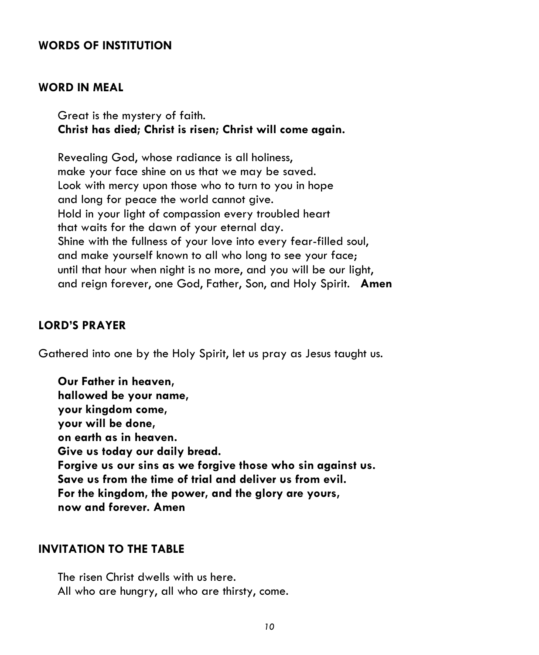#### **WORDS OF INSTITUTION**

#### **WORD IN MEAL**

Great is the mystery of faith. **Christ has died; Christ is risen; Christ will come again.**

Revealing God, whose radiance is all holiness, make your face shine on us that we may be saved. Look with mercy upon those who to turn to you in hope and long for peace the world cannot give. Hold in your light of compassion every troubled heart that waits for the dawn of your eternal day. Shine with the fullness of your love into every fear-filled soul, and make yourself known to all who long to see your face; until that hour when night is no more, and you will be our light, and reign forever, one God, Father, Son, and Holy Spirit. **Amen**

#### **LORD'S PRAYER**

Gathered into one by the Holy Spirit, let us pray as Jesus taught us.

**Our Father in heaven, hallowed be your name, your kingdom come, your will be done, on earth as in heaven. Give us today our daily bread. Forgive us our sins as we forgive those who sin against us. Save us from the time of trial and deliver us from evil. For the kingdom, the power, and the glory are yours, now and forever. Amen**

#### **INVITATION TO THE TABLE**

The risen Christ dwells with us here. All who are hungry, all who are thirsty, come.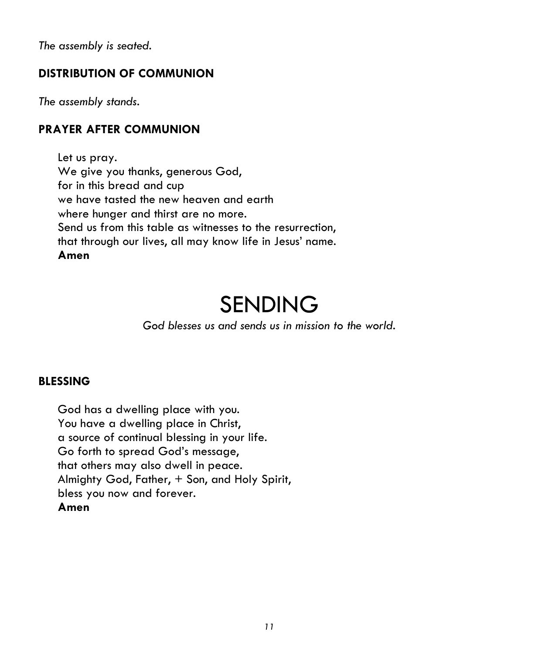*The assembly is seated.*

# **DISTRIBUTION OF COMMUNION**

*The assembly stands.*

# **PRAYER AFTER COMMUNION**

Let us pray. We give you thanks, generous God, for in this bread and cup we have tasted the new heaven and earth where hunger and thirst are no more. Send us from this table as witnesses to the resurrection, that through our lives, all may know life in Jesus' name. **Amen**

# SENDING

*God blesses us and sends us in mission to the world.*

## **BLESSING**

God has a dwelling place with you. You have a dwelling place in Christ, a source of continual blessing in your life. Go forth to spread God's message, that others may also dwell in peace. Almighty God, Father, + Son, and Holy Spirit, bless you now and forever. **Amen**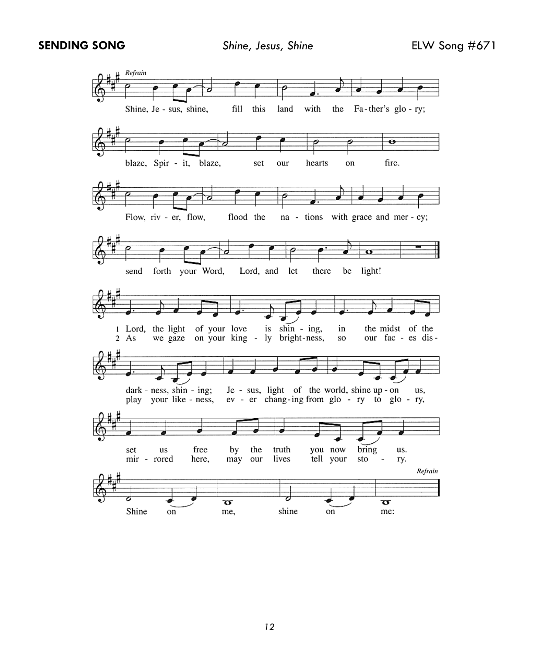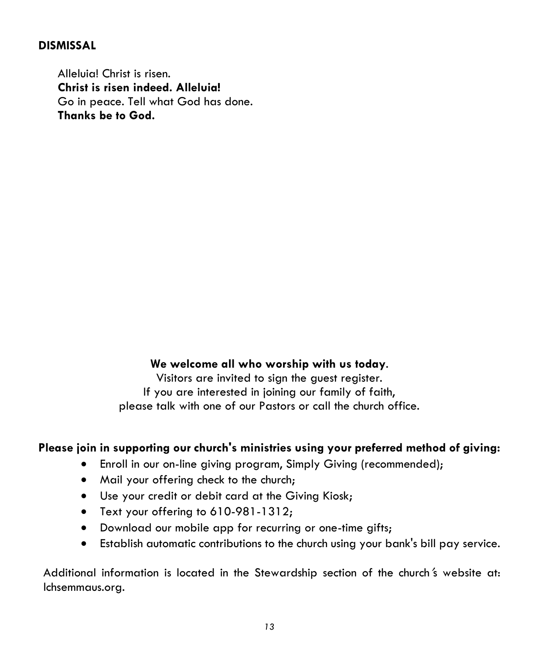### **DISMISSAL**

Alleluia! Christ is risen. **Christ is risen indeed. Alleluia!** Go in peace. Tell what God has done. **Thanks be to God.**

#### **We welcome all who worship with us today**.

Visitors are invited to sign the guest register. If you are interested in joining our family of faith, please talk with one of our Pastors or call the church office.

## **Please join in supporting our church's ministries using your preferred method of giving:**

- Enroll in our on-line giving program, Simply Giving (recommended);
- Mail your offering check to the church;
- Use your credit or debit card at the Giving Kiosk;
- Text your offering to 610-981-1312;
- Download our mobile app for recurring or one-time gifts;
- Establish automatic contributions to the church using your bank's bill pay service.

Additional information is located in the Stewardship section of the church 's website at: lchsemmaus.org.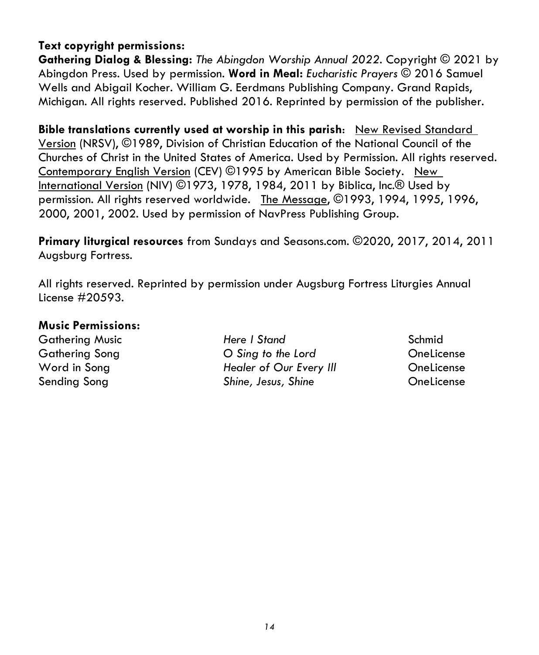# **Text copyright permissions:**

**Gathering Dialog & Blessing:** *The Abingdon Worship Annual 2022.* Copyright © 2021 by Abingdon Press. Used by permission. **Word in Meal:** *Eucharistic Prayers* © 2016 Samuel Wells and Abigail Kocher. William G. Eerdmans Publishing Company. Grand Rapids, Michigan. All rights reserved. Published 2016. Reprinted by permission of the publisher.

**Bible translations currently used at worship in this parish**: New Revised Standard Version (NRSV), ©1989, Division of Christian Education of the National Council of the Churches of Christ in the United States of America. Used by Permission. All rights reserved. Contemporary English Version (CEV) ©1995 by American Bible Society. New International Version (NIV) ©1973, 1978, 1984, 2011 by Biblica, Inc.® Used by permission. All rights reserved worldwide. The Message, ©1993, 1994, 1995, 1996, 2000, 2001, 2002. Used by permission of NavPress Publishing Group.

**Primary liturgical resources** from Sundays and Seasons.com. ©2020, 2017, 2014, 2011 Augsburg Fortress.

All rights reserved. Reprinted by permission under Augsburg Fortress Liturgies Annual License #20593.

#### **Music Permissions:**

Gathering Music *Here I Stand* Schmid Gathering Song *O Sing to the Lord* OneLicense Word in Song *Healer of Our Every Ill* OneLicense Sending Song *Shine, Jesus, Shine* OneLicense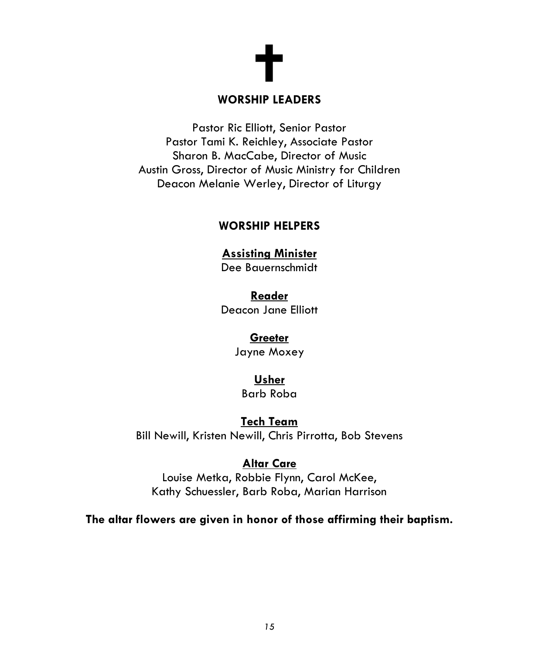

#### **WORSHIP LEADERS**

Pastor Ric Elliott, Senior Pastor Pastor Tami K. Reichley, Associate Pastor Sharon B. MacCabe, Director of Music Austin Gross, Director of Music Ministry for Children Deacon Melanie Werley, Director of Liturgy

## **WORSHIP HELPERS**

#### **Assisting Minister**

Dee Bauernschmidt

**Reader** Deacon Jane Elliott

#### **Greeter**

Jayne Moxey

#### **Usher**

Barb Roba

## **Tech Team**

Bill Newill, Kristen Newill, Chris Pirrotta, Bob Stevens

# **Altar Care**

Louise Metka, Robbie Flynn, Carol McKee, Kathy Schuessler, Barb Roba, Marian Harrison

**The altar flowers are given in honor of those affirming their baptism.**